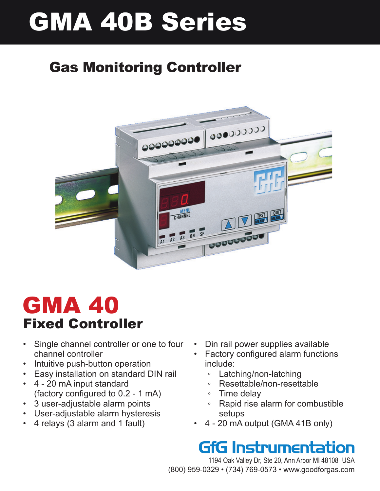# GMA 40B Series

# Gas Monitoring Controller



# GMA 40 Fixed Controller

- Single channel controller or one to four channel controller
- • Intuitive push-button operation
- **Easy installation on standard DIN rail**
- • 4 20 mA input standard (factory configured to 0.2 - 1 mA)
- • 3 user-adjustable alarm points
- User-adjustable alarm hysteresis
- 4 relays (3 alarm and 1 fault)
- Din rail power supplies available
- Factory configured alarm functions include:
	- Latching/non-latching
	- Resettable/non-resettable
	- Time delay
	- Rapid rise alarm for combustible setups
- 4 20 mA output (GMA 41B only)

# **GfG Instrumentation**

1194 Oak Valley Dr, Ste 20, Ann Arbor MI 48108 USA (800) 959-0329 • (734) 769-0573 • www.goodforgas.com